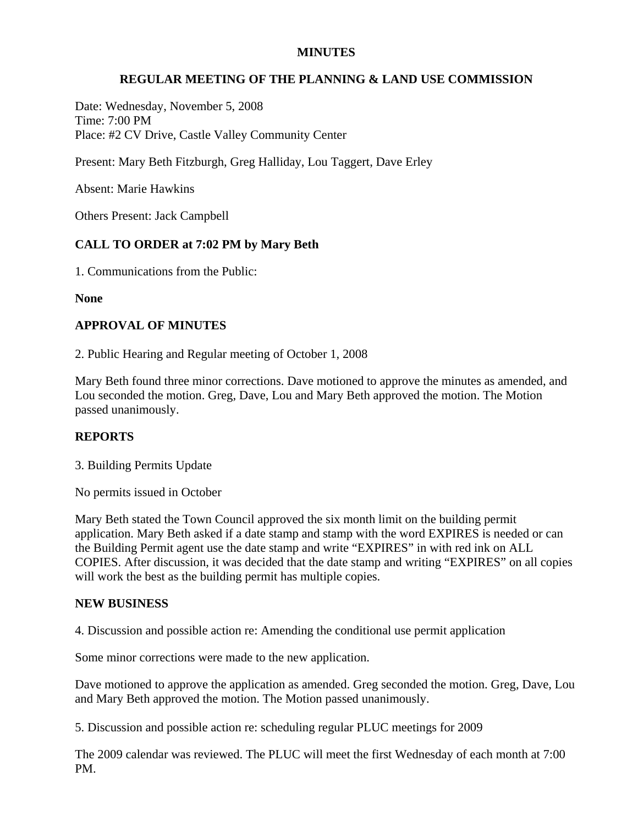### **MINUTES**

# **REGULAR MEETING OF THE PLANNING & LAND USE COMMISSION**

Date: Wednesday, November 5, 2008 Time: 7:00 PM Place: #2 CV Drive, Castle Valley Community Center

Present: Mary Beth Fitzburgh, Greg Halliday, Lou Taggert, Dave Erley

Absent: Marie Hawkins

Others Present: Jack Campbell

# **CALL TO ORDER at 7:02 PM by Mary Beth**

1. Communications from the Public:

**None** 

### **APPROVAL OF MINUTES**

2. Public Hearing and Regular meeting of October 1, 2008

Mary Beth found three minor corrections. Dave motioned to approve the minutes as amended, and Lou seconded the motion. Greg, Dave, Lou and Mary Beth approved the motion. The Motion passed unanimously.

# **REPORTS**

3. Building Permits Update

No permits issued in October

Mary Beth stated the Town Council approved the six month limit on the building permit application. Mary Beth asked if a date stamp and stamp with the word EXPIRES is needed or can the Building Permit agent use the date stamp and write "EXPIRES" in with red ink on ALL COPIES. After discussion, it was decided that the date stamp and writing "EXPIRES" on all copies will work the best as the building permit has multiple copies.

### **NEW BUSINESS**

4. Discussion and possible action re: Amending the conditional use permit application

Some minor corrections were made to the new application.

Dave motioned to approve the application as amended. Greg seconded the motion. Greg, Dave, Lou and Mary Beth approved the motion. The Motion passed unanimously.

5. Discussion and possible action re: scheduling regular PLUC meetings for 2009

The 2009 calendar was reviewed. The PLUC will meet the first Wednesday of each month at 7:00 PM.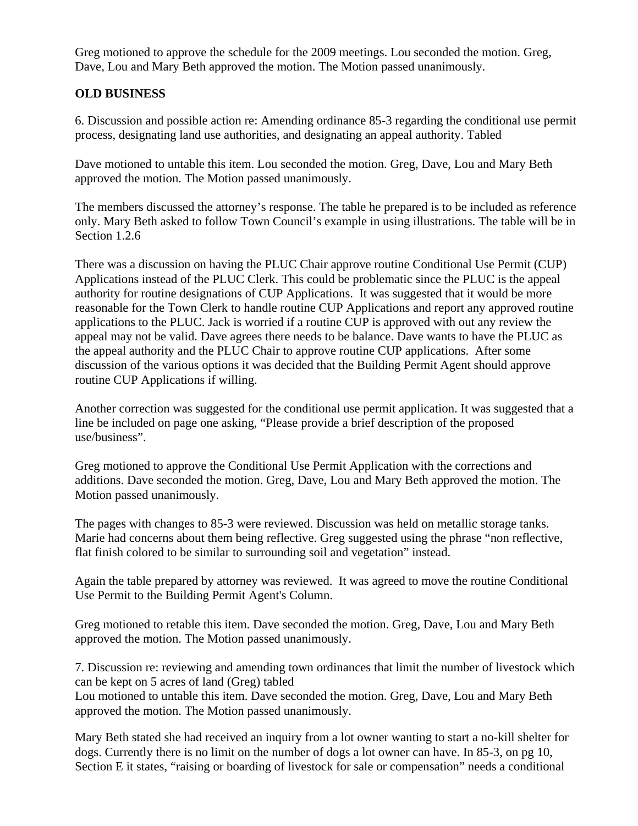Greg motioned to approve the schedule for the 2009 meetings. Lou seconded the motion. Greg, Dave, Lou and Mary Beth approved the motion. The Motion passed unanimously.

# **OLD BUSINESS**

6. Discussion and possible action re: Amending ordinance 85-3 regarding the conditional use permit process, designating land use authorities, and designating an appeal authority. Tabled

Dave motioned to untable this item. Lou seconded the motion. Greg, Dave, Lou and Mary Beth approved the motion. The Motion passed unanimously.

The members discussed the attorney's response. The table he prepared is to be included as reference only. Mary Beth asked to follow Town Council's example in using illustrations. The table will be in Section 1.2.6

There was a discussion on having the PLUC Chair approve routine Conditional Use Permit (CUP) Applications instead of the PLUC Clerk. This could be problematic since the PLUC is the appeal authority for routine designations of CUP Applications. It was suggested that it would be more reasonable for the Town Clerk to handle routine CUP Applications and report any approved routine applications to the PLUC. Jack is worried if a routine CUP is approved with out any review the appeal may not be valid. Dave agrees there needs to be balance. Dave wants to have the PLUC as the appeal authority and the PLUC Chair to approve routine CUP applications. After some discussion of the various options it was decided that the Building Permit Agent should approve routine CUP Applications if willing.

Another correction was suggested for the conditional use permit application. It was suggested that a line be included on page one asking, "Please provide a brief description of the proposed use/business".

Greg motioned to approve the Conditional Use Permit Application with the corrections and additions. Dave seconded the motion. Greg, Dave, Lou and Mary Beth approved the motion. The Motion passed unanimously.

The pages with changes to 85-3 were reviewed. Discussion was held on metallic storage tanks. Marie had concerns about them being reflective. Greg suggested using the phrase "non reflective, flat finish colored to be similar to surrounding soil and vegetation" instead.

Again the table prepared by attorney was reviewed. It was agreed to move the routine Conditional Use Permit to the Building Permit Agent's Column.

Greg motioned to retable this item. Dave seconded the motion. Greg, Dave, Lou and Mary Beth approved the motion. The Motion passed unanimously.

7. Discussion re: reviewing and amending town ordinances that limit the number of livestock which can be kept on 5 acres of land (Greg) tabled

Lou motioned to untable this item. Dave seconded the motion. Greg, Dave, Lou and Mary Beth approved the motion. The Motion passed unanimously.

Mary Beth stated she had received an inquiry from a lot owner wanting to start a no-kill shelter for dogs. Currently there is no limit on the number of dogs a lot owner can have. In 85-3, on pg 10, Section E it states, "raising or boarding of livestock for sale or compensation" needs a conditional